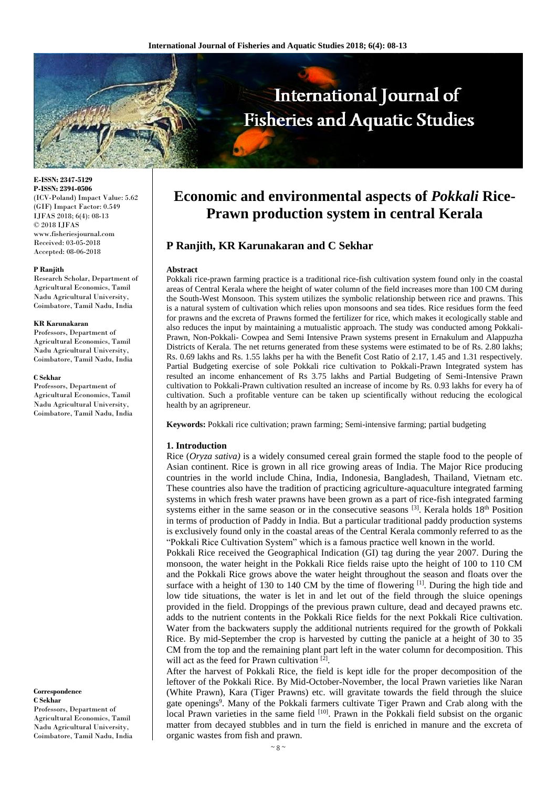

**E-ISSN: 2347-5129 P-ISSN: 2394-0506** (ICV-Poland) Impact Value: 5.62 (GIF) Impact Factor: 0.549 IJFAS 2018; 6(4): 08-13 © 2018 IJFAS www.fisheriesjournal.com Received: 03-05-2018 Accepted: 08-06-2018

#### **P Ranjith**

Research Scholar, Department of Agricultural Economics, Tamil Nadu Agricultural University, Coimbatore, Tamil Nadu, India

#### **KR Karunakaran**

Professors, Department of Agricultural Economics, Tamil Nadu Agricultural University, Coimbatore, Tamil Nadu, India

#### **C Sekhar**

Professors, Department of Agricultural Economics, Tamil Nadu Agricultural University, Coimbatore, Tamil Nadu, India

**Correspondence C Sekhar** Professors, Department of Agricultural Economics, Tamil Nadu Agricultural University, Coimbatore, Tamil Nadu, India

# **Economic and environmental aspects of** *Pokkali* **Rice-Prawn production system in central Kerala**

# **P Ranjith, KR Karunakaran and C Sekhar**

#### **Abstract**

Pokkali rice-prawn farming practice is a traditional rice-fish cultivation system found only in the coastal areas of Central Kerala where the height of water column of the field increases more than 100 CM during the South-West Monsoon. This system utilizes the symbolic relationship between rice and prawns. This is a natural system of cultivation which relies upon monsoons and sea tides. Rice residues form the feed for prawns and the excreta of Prawns formed the fertilizer for rice, which makes it ecologically stable and also reduces the input by maintaining a mutualistic approach. The study was conducted among Pokkali-Prawn, Non-Pokkali- Cowpea and Semi Intensive Prawn systems present in Ernakulum and Alappuzha Districts of Kerala. The net returns generated from these systems were estimated to be of Rs. 2.80 lakhs; Rs. 0.69 lakhs and Rs. 1.55 lakhs per ha with the Benefit Cost Ratio of 2.17, 1.45 and 1.31 respectively. Partial Budgeting exercise of sole Pokkali rice cultivation to Pokkali-Prawn Integrated system has resulted an income enhancement of Rs 3.75 lakhs and Partial Budgeting of Semi-Intensive Prawn cultivation to Pokkali-Prawn cultivation resulted an increase of income by Rs. 0.93 lakhs for every ha of cultivation. Such a profitable venture can be taken up scientifically without reducing the ecological health by an agripreneur.

**Keywords:** Pokkali rice cultivation; prawn farming; Semi-intensive farming; partial budgeting

#### **1. Introduction**

Rice (*Oryza sativa)* is a widely consumed cereal grain formed the staple food to the people of Asian continent. Rice is grown in all rice growing areas of India. The Major Rice producing countries in the world include China, India, Indonesia, Bangladesh, Thailand, Vietnam etc. These countries also have the tradition of practicing agriculture-aquaculture integrated farming systems in which fresh water prawns have been grown as a part of rice-fish integrated farming systems either in the same season or in the consecutive seasons  $[3]$ . Kerala holds  $18<sup>th</sup>$  Position in terms of production of Paddy in India. But a particular traditional paddy production systems is exclusively found only in the coastal areas of the Central Kerala commonly referred to as the "Pokkali Rice Cultivation System" which is a famous practice well known in the world.

Pokkali Rice received the Geographical Indication (GI) tag during the year 2007. During the monsoon, the water height in the Pokkali Rice fields raise upto the height of 100 to 110 CM and the Pokkali Rice grows above the water height throughout the season and floats over the surface with a height of 130 to 140 CM by the time of flowering  $\left[1\right]$ . During the high tide and low tide situations, the water is let in and let out of the field through the sluice openings provided in the field. Droppings of the previous prawn culture, dead and decayed prawns etc. adds to the nutrient contents in the Pokkali Rice fields for the next Pokkali Rice cultivation. Water from the backwaters supply the additional nutrients required for the growth of Pokkali Rice. By mid-September the crop is harvested by cutting the panicle at a height of 30 to 35 CM from the top and the remaining plant part left in the water column for decomposition. This will act as the feed for Prawn cultivation [2].

After the harvest of Pokkali Rice, the field is kept idle for the proper decomposition of the leftover of the Pokkali Rice. By Mid-October-November, the local Prawn varieties like Naran (White Prawn), Kara (Tiger Prawns) etc. will gravitate towards the field through the sluice gate openings<sup>9</sup>. Many of the Pokkali farmers cultivate Tiger Prawn and Crab along with the local Prawn varieties in the same field [10]. Prawn in the Pokkali field subsist on the organic matter from decayed stubbles and in turn the field is enriched in manure and the excreta of organic wastes from fish and prawn.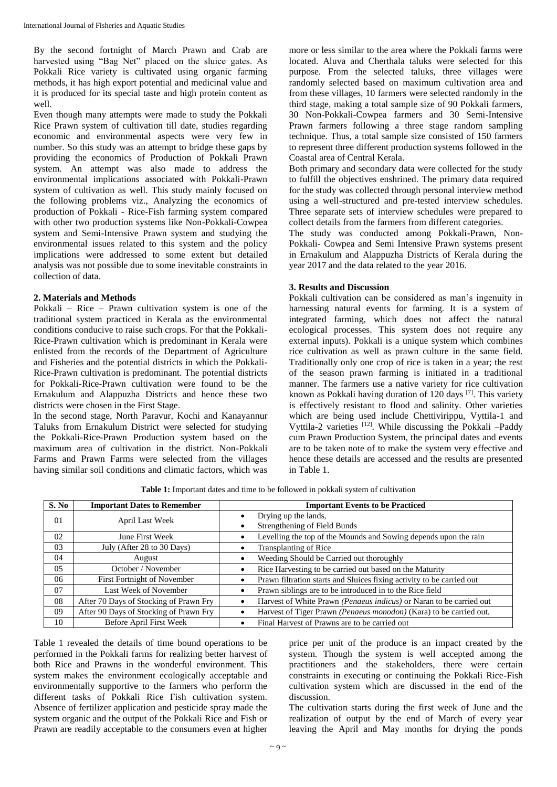By the second fortnight of March Prawn and Crab are harvested using "Bag Net" placed on the sluice gates. As Pokkali Rice variety is cultivated using organic farming methods, it has high export potential and medicinal value and it is produced for its special taste and high protein content as well.

Even though many attempts were made to study the Pokkali Rice Prawn system of cultivation till date, studies regarding economic and environmental aspects were very few in number. So this study was an attempt to bridge these gaps by providing the economics of Production of Pokkali Prawn system. An attempt was also made to address the environmental implications associated with Pokkali-Prawn system of cultivation as well. This study mainly focused on the following problems viz., Analyzing the economics of production of Pokkali - Rice-Fish farming system compared with other two production systems like Non-Pokkali-Cowpea system and Semi-Intensive Prawn system and studying the environmental issues related to this system and the policy implications were addressed to some extent but detailed analysis was not possible due to some inevitable constraints in collection of data.

#### **2. Materials and Methods**

Pokkali – Rice – Prawn cultivation system is one of the traditional system practiced in Kerala as the environmental conditions conducive to raise such crops. For that the Pokkali-Rice-Prawn cultivation which is predominant in Kerala were enlisted from the records of the Department of Agriculture and Fisheries and the potential districts in which the Pokkali-Rice-Prawn cultivation is predominant. The potential districts for Pokkali-Rice-Prawn cultivation were found to be the Ernakulum and Alappuzha Districts and hence these two districts were chosen in the First Stage.

In the second stage, North Paravur, Kochi and Kanayannur Taluks from Ernakulum District were selected for studying the Pokkali-Rice-Prawn Production system based on the maximum area of cultivation in the district. Non-Pokkali Farms and Prawn Farms were selected from the villages having similar soil conditions and climatic factors, which was

more or less similar to the area where the Pokkali farms were located. Aluva and Cherthala taluks were selected for this purpose. From the selected taluks, three villages were randomly selected based on maximum cultivation area and from these villages, 10 farmers were selected randomly in the third stage, making a total sample size of 90 Pokkali farmers, 30 Non-Pokkali-Cowpea farmers and 30 Semi-Intensive Prawn farmers following a three stage random sampling technique. Thus, a total sample size consisted of 150 farmers to represent three different production systems followed in the Coastal area of Central Kerala.

Both primary and secondary data were collected for the study to fulfill the objectives enshrined. The primary data required for the study was collected through personal interview method using a well-structured and pre-tested interview schedules. Three separate sets of interview schedules were prepared to collect details from the farmers from different categories.

The study was conducted among Pokkali-Prawn, Non-Pokkali- Cowpea and Semi Intensive Prawn systems present in Ernakulum and Alappuzha Districts of Kerala during the year 2017 and the data related to the year 2016.

### **3. Results and Discussion**

Pokkali cultivation can be considered as man's ingenuity in harnessing natural events for farming. It is a system of integrated farming, which does not affect the natural ecological processes. This system does not require any external inputs). Pokkali is a unique system which combines rice cultivation as well as prawn culture in the same field. Traditionally only one crop of rice is taken in a year; the rest of the season prawn farming is initiated in a traditional manner. The farmers use a native variety for rice cultivation known as Pokkali having duration of 120 days [7]. This variety is effectively resistant to flood and salinity. Other varieties which are being used include Chettivirippu, Vyttila-1 and Vyttila-2 varieties <sup>[12]</sup>. While discussing the Pokkali -Paddy cum Prawn Production System, the principal dates and events are to be taken note of to make the system very effective and hence these details are accessed and the results are presented in Table 1.

| S. No | <b>Important Dates to Remember</b>     | <b>Important Events to be Practiced</b>                                            |  |
|-------|----------------------------------------|------------------------------------------------------------------------------------|--|
| 01    | April Last Week                        | Drying up the lands,<br>٠<br>Strengthening of Field Bunds                          |  |
| 02    | June First Week                        | Levelling the top of the Mounds and Sowing depends upon the rain                   |  |
| 03    | July (After 28 to 30 Days)             | Transplanting of Rice                                                              |  |
| 04    | August                                 | Weeding Should be Carried out thoroughly                                           |  |
| 05    | October / November                     | Rice Harvesting to be carried out based on the Maturity                            |  |
| 06    | <b>First Fortnight of November</b>     | Prawn filtration starts and Sluices fixing activity to be carried out<br>$\bullet$ |  |
| 07    | Last Week of November                  | Prawn siblings are to be introduced in to the Rice field<br>٠                      |  |
| 08    | After 70 Days of Stocking of Prawn Fry | Harvest of White Prawn (Penaeus indicus) or Naran to be carried out                |  |
| 09    | After 90 Days of Stocking of Prawn Fry | Harvest of Tiger Prawn (Penaeus monodon) (Kara) to be carried out.                 |  |
| 10    | Before April First Week                | Final Harvest of Prawns are to be carried out                                      |  |

**Table 1:** Important dates and time to be followed in pokkali system of cultivation

Table 1 revealed the details of time bound operations to be performed in the Pokkali farms for realizing better harvest of both Rice and Prawns in the wonderful environment. This system makes the environment ecologically acceptable and environmentally supportive to the farmers who perform the different tasks of Pokkali Rice Fish cultivation system. Absence of fertilizer application and pesticide spray made the system organic and the output of the Pokkali Rice and Fish or Prawn are readily acceptable to the consumers even at higher

price per unit of the produce is an impact created by the system. Though the system is well accepted among the practitioners and the stakeholders, there were certain constraints in executing or continuing the Pokkali Rice-Fish cultivation system which are discussed in the end of the discussion.

The cultivation starts during the first week of June and the realization of output by the end of March of every year leaving the April and May months for drying the ponds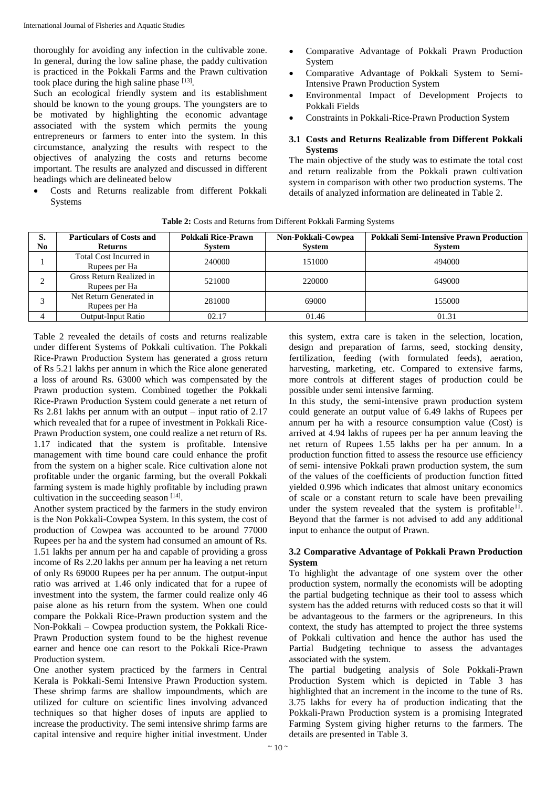thoroughly for avoiding any infection in the cultivable zone. In general, during the low saline phase, the paddy cultivation is practiced in the Pokkali Farms and the Prawn cultivation took place during the high saline phase  $[13]$ .

Such an ecological friendly system and its establishment should be known to the young groups. The youngsters are to be motivated by highlighting the economic advantage associated with the system which permits the young entrepreneurs or farmers to enter into the system. In this circumstance, analyzing the results with respect to the objectives of analyzing the costs and returns become important. The results are analyzed and discussed in different headings which are delineated below

 Costs and Returns realizable from different Pokkali **Systems** 

- Comparative Advantage of Pokkali Prawn Production System
- Comparative Advantage of Pokkali System to Semi-Intensive Prawn Production System
- Environmental Impact of Development Projects to Pokkali Fields
- Constraints in Pokkali-Rice-Prawn Production System

## **3.1 Costs and Returns Realizable from Different Pokkali Systems**

The main objective of the study was to estimate the total cost and return realizable from the Pokkali prawn cultivation system in comparison with other two production systems. The details of analyzed information are delineated in Table 2.

| S.<br>No | <b>Particulars of Costs and</b><br><b>Returns</b> | Pokkali Rice-Prawn<br><b>System</b> | Non-Pokkali-Cowpea<br><b>System</b> | <b>Pokkali Semi-Intensive Prawn Production</b><br><b>System</b> |
|----------|---------------------------------------------------|-------------------------------------|-------------------------------------|-----------------------------------------------------------------|
|          | Total Cost Incurred in<br>Rupees per Ha           | 240000                              | 151000                              | 494000                                                          |
|          | Gross Return Realized in<br>Rupees per Ha         | 521000                              | 220000                              | 649000                                                          |
|          | Net Return Generated in<br>Rupees per Ha          | 281000                              | 69000                               | 155000                                                          |
|          | <b>Output-Input Ratio</b>                         | 02.17                               | 01.46                               | 01.31                                                           |

**Table 2:** Costs and Returns from Different Pokkali Farming Systems

Table 2 revealed the details of costs and returns realizable under different Systems of Pokkali cultivation. The Pokkali Rice-Prawn Production System has generated a gross return of Rs 5.21 lakhs per annum in which the Rice alone generated a loss of around Rs. 63000 which was compensated by the Prawn production system. Combined together the Pokkali Rice-Prawn Production System could generate a net return of Rs 2.81 lakhs per annum with an output – input ratio of 2.17 which revealed that for a rupee of investment in Pokkali Rice-Prawn Production system, one could realize a net return of Rs. 1.17 indicated that the system is profitable. Intensive management with time bound care could enhance the profit from the system on a higher scale. Rice cultivation alone not profitable under the organic farming, but the overall Pokkali farming system is made highly profitable by including prawn cultivation in the succeeding season  $[14]$ .

Another system practiced by the farmers in the study environ is the Non Pokkali-Cowpea System. In this system, the cost of production of Cowpea was accounted to be around 77000 Rupees per ha and the system had consumed an amount of Rs. 1.51 lakhs per annum per ha and capable of providing a gross income of Rs 2.20 lakhs per annum per ha leaving a net return of only Rs 69000 Rupees per ha per annum. The output-input ratio was arrived at 1.46 only indicated that for a rupee of investment into the system, the farmer could realize only 46 paise alone as his return from the system. When one could compare the Pokkali Rice-Prawn production system and the Non-Pokkali – Cowpea production system, the Pokkali Rice-Prawn Production system found to be the highest revenue earner and hence one can resort to the Pokkali Rice-Prawn Production system.

One another system practiced by the farmers in Central Kerala is Pokkali-Semi Intensive Prawn Production system. These shrimp farms are shallow impoundments, which are utilized for culture on scientific lines involving advanced techniques so that higher doses of inputs are applied to increase the productivity. The semi intensive shrimp farms are capital intensive and require higher initial investment. Under

this system, extra care is taken in the selection, location, design and preparation of farms, seed, stocking density, fertilization, feeding (with formulated feeds), aeration, harvesting, marketing, etc. Compared to extensive farms, more controls at different stages of production could be possible under semi intensive farming.

In this study, the semi-intensive prawn production system could generate an output value of 6.49 lakhs of Rupees per annum per ha with a resource consumption value (Cost) is arrived at 4.94 lakhs of rupees per ha per annum leaving the net return of Rupees 1.55 lakhs per ha per annum. In a production function fitted to assess the resource use efficiency of semi- intensive Pokkali prawn production system, the sum of the values of the coefficients of production function fitted yielded 0.996 which indicates that almost unitary economics of scale or a constant return to scale have been prevailing under the system revealed that the system is profitable<sup>11</sup>. Beyond that the farmer is not advised to add any additional input to enhance the output of Prawn.

## **3.2 Comparative Advantage of Pokkali Prawn Production System**

To highlight the advantage of one system over the other production system, normally the economists will be adopting the partial budgeting technique as their tool to assess which system has the added returns with reduced costs so that it will be advantageous to the farmers or the agripreneurs. In this context, the study has attempted to project the three systems of Pokkali cultivation and hence the author has used the Partial Budgeting technique to assess the advantages associated with the system.

The partial budgeting analysis of Sole Pokkali-Prawn Production System which is depicted in Table 3 has highlighted that an increment in the income to the tune of Rs. 3.75 lakhs for every ha of production indicating that the Pokkali-Prawn Production system is a promising Integrated Farming System giving higher returns to the farmers. The details are presented in Table 3.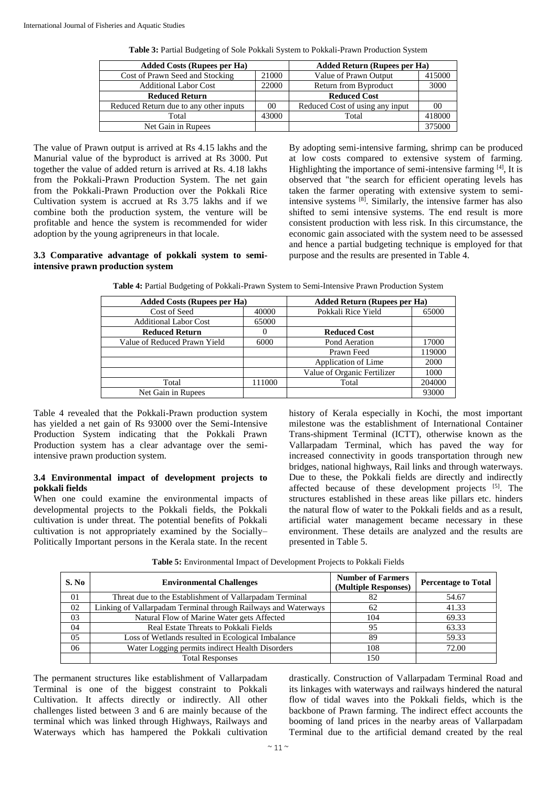| <b>Added Costs (Rupees per Ha)</b>     |       | <b>Added Return (Rupees per Ha)</b> |        |
|----------------------------------------|-------|-------------------------------------|--------|
| Cost of Prawn Seed and Stocking        | 21000 | Value of Prawn Output               | 415000 |
| <b>Additional Labor Cost</b>           | 22000 | Return from Byproduct               | 3000   |
| <b>Reduced Return</b>                  |       | <b>Reduced Cost</b>                 |        |
| Reduced Return due to any other inputs | 00    | Reduced Cost of using any input     | 00     |
| Total                                  | 43000 | Total                               | 418000 |
| Net Gain in Rupees                     |       |                                     | 375000 |

**Table 3:** Partial Budgeting of Sole Pokkali System to Pokkali-Prawn Production System

The value of Prawn output is arrived at Rs 4.15 lakhs and the Manurial value of the byproduct is arrived at Rs 3000. Put together the value of added return is arrived at Rs. 4.18 lakhs from the Pokkali-Prawn Production System. The net gain from the Pokkali-Prawn Production over the Pokkali Rice Cultivation system is accrued at Rs 3.75 lakhs and if we combine both the production system, the venture will be profitable and hence the system is recommended for wider adoption by the young agripreneurs in that locale.

By adopting semi-intensive farming, shrimp can be produced at low costs compared to extensive system of farming. Highlighting the importance of semi-intensive farming [4], It is observed that "the search for efficient operating levels has taken the farmer operating with extensive system to semiintensive systems [8] . Similarly, the intensive farmer has also shifted to semi intensive systems. The end result is more consistent production with less risk. In this circumstance, the economic gain associated with the system need to be assessed and hence a partial budgeting technique is employed for that purpose and the results are presented in Table 4.

### **3.3 Comparative advantage of pokkali system to semiintensive prawn production system**

| Table 4: Partial Budgeting of Pokkali-Prawn System to Semi-Intensive Prawn Production System |                              |  |  |
|----------------------------------------------------------------------------------------------|------------------------------|--|--|
| Added Costs (Rupees per Ha)                                                                  | Added Return (Runees ner Ha) |  |  |

| <b>Added Costs (Rupees per Ha)</b> |        | <b>Added Return (Rupees per Ha)</b> |        |
|------------------------------------|--------|-------------------------------------|--------|
| Cost of Seed                       | 40000  | Pokkali Rice Yield                  | 65000  |
| <b>Additional Labor Cost</b>       | 65000  |                                     |        |
| <b>Reduced Return</b>              | $_{0}$ | <b>Reduced Cost</b>                 |        |
| Value of Reduced Prawn Yield       | 6000   | Pond Aeration                       | 17000  |
|                                    |        | Prawn Feed                          | 119000 |
|                                    |        | Application of Lime                 | 2000   |
|                                    |        | Value of Organic Fertilizer         | 1000   |
| Total                              | 111000 | Total                               | 204000 |
| Net Gain in Rupees                 |        |                                     | 93000  |

Table 4 revealed that the Pokkali-Prawn production system has yielded a net gain of Rs 93000 over the Semi-Intensive Production System indicating that the Pokkali Prawn Production system has a clear advantage over the semiintensive prawn production system.

### **3.4 Environmental impact of development projects to pokkali fields**

When one could examine the environmental impacts of developmental projects to the Pokkali fields, the Pokkali cultivation is under threat. The potential benefits of Pokkali cultivation is not appropriately examined by the Socially– Politically Important persons in the Kerala state. In the recent history of Kerala especially in Kochi, the most important milestone was the establishment of International Container Trans-shipment Terminal (ICTT), otherwise known as the Vallarpadam Terminal, which has paved the way for increased connectivity in goods transportation through new bridges, national highways, Rail links and through waterways. Due to these, the Pokkali fields are directly and indirectly affected because of these development projects [5]. The structures established in these areas like pillars etc. hinders the natural flow of water to the Pokkali fields and as a result, artificial water management became necessary in these environment. These details are analyzed and the results are presented in Table 5.

| S. No | <b>Environmental Challenges</b>                                | <b>Number of Farmers</b><br>(Multiple Responses) | <b>Percentage to Total</b> |
|-------|----------------------------------------------------------------|--------------------------------------------------|----------------------------|
| 01    | Threat due to the Establishment of Vallarpadam Terminal        | 82                                               | 54.67                      |
| 02    | Linking of Vallarpadam Terminal through Railways and Waterways | 62                                               | 41.33                      |
| 03    | Natural Flow of Marine Water gets Affected                     | 104                                              | 69.33                      |
| 04    | Real Estate Threats to Pokkali Fields                          | 95                                               | 63.33                      |
| 05    | Loss of Wetlands resulted in Ecological Imbalance              | 89                                               | 59.33                      |
| 06    | Water Logging permits indirect Health Disorders                | 108                                              | 72.00                      |
|       | <b>Total Responses</b>                                         | 150                                              |                            |

**Table 5:** Environmental Impact of Development Projects to Pokkali Fields

The permanent structures like establishment of Vallarpadam Terminal is one of the biggest constraint to Pokkali Cultivation. It affects directly or indirectly. All other challenges listed between 3 and 6 are mainly because of the terminal which was linked through Highways, Railways and Waterways which has hampered the Pokkali cultivation drastically. Construction of Vallarpadam Terminal Road and its linkages with waterways and railways hindered the natural flow of tidal waves into the Pokkali fields, which is the backbone of Prawn farming. The indirect effect accounts the booming of land prices in the nearby areas of Vallarpadam Terminal due to the artificial demand created by the real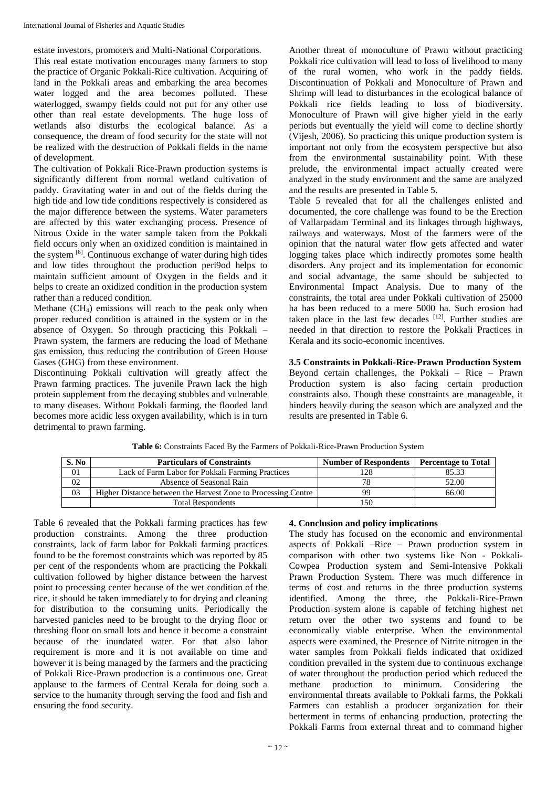estate investors, promoters and Multi-National Corporations.

This real estate motivation encourages many farmers to stop the practice of Organic Pokkali-Rice cultivation. Acquiring of land in the Pokkali areas and embarking the area becomes water logged and the area becomes polluted. These waterlogged, swampy fields could not put for any other use other than real estate developments. The huge loss of wetlands also disturbs the ecological balance. As a consequence, the dream of food security for the state will not be realized with the destruction of Pokkali fields in the name of development.

The cultivation of Pokkali Rice-Prawn production systems is significantly different from normal wetland cultivation of paddy. Gravitating water in and out of the fields during the high tide and low tide conditions respectively is considered as the major difference between the systems. Water parameters are affected by this water exchanging process. Presence of Nitrous Oxide in the water sample taken from the Pokkali field occurs only when an oxidized condition is maintained in the system <sup>[6]</sup>. Continuous exchange of water during high tides and low tides throughout the production peri9od helps to maintain sufficient amount of Oxygen in the fields and it helps to create an oxidized condition in the production system rather than a reduced condition.

Methane (CH4) emissions will reach to the peak only when proper reduced condition is attained in the system or in the absence of Oxygen. So through practicing this Pokkali – Prawn system, the farmers are reducing the load of Methane gas emission, thus reducing the contribution of Green House Gases (GHG) from these environment.

Discontinuing Pokkali cultivation will greatly affect the Prawn farming practices. The juvenile Prawn lack the high protein supplement from the decaying stubbles and vulnerable to many diseases. Without Pokkali farming, the flooded land becomes more acidic less oxygen availability, which is in turn detrimental to prawn farming.

Another threat of monoculture of Prawn without practicing Pokkali rice cultivation will lead to loss of livelihood to many of the rural women, who work in the paddy fields. Discontinuation of Pokkali and Monoculture of Prawn and Shrimp will lead to disturbances in the ecological balance of Pokkali rice fields leading to loss of biodiversity. Monoculture of Prawn will give higher yield in the early periods but eventually the yield will come to decline shortly (Vijesh, 2006). So practicing this unique production system is important not only from the ecosystem perspective but also from the environmental sustainability point. With these prelude, the environmental impact actually created were analyzed in the study environment and the same are analyzed and the results are presented in Table 5.

Table 5 revealed that for all the challenges enlisted and documented, the core challenge was found to be the Erection of Vallarpadam Terminal and its linkages through highways, railways and waterways. Most of the farmers were of the opinion that the natural water flow gets affected and water logging takes place which indirectly promotes some health disorders. Any project and its implementation for economic and social advantage, the same should be subjected to Environmental Impact Analysis. Due to many of the constraints, the total area under Pokkali cultivation of 25000 ha has been reduced to a mere 5000 ha. Such erosion had taken place in the last few decades  $[12]$ . Further studies are needed in that direction to restore the Pokkali Practices in Kerala and its socio-economic incentives.

**3.5 Constraints in Pokkali-Rice-Prawn Production System** Beyond certain challenges, the Pokkali – Rice – Prawn Production system is also facing certain production constraints also. Though these constraints are manageable, it hinders heavily during the season which are analyzed and the results are presented in Table 6.

| S. No | <b>Particulars of Constraints</b>                             | <b>Number of Respondents</b> | <b>Percentage to Total</b> |
|-------|---------------------------------------------------------------|------------------------------|----------------------------|
| 01    | Lack of Farm Labor for Pokkali Farming Practices              | 128                          | 85.33                      |
| 02    | Absence of Seasonal Rain                                      | 78                           | 52.00                      |
| 03    | Higher Distance between the Harvest Zone to Processing Centre | qq                           | 66.00                      |
|       | <b>Total Respondents</b>                                      | l 50                         |                            |

**Table 6:** Constraints Faced By the Farmers of Pokkali-Rice-Prawn Production System

Table 6 revealed that the Pokkali farming practices has few production constraints. Among the three production constraints, lack of farm labor for Pokkali farming practices found to be the foremost constraints which was reported by 85 per cent of the respondents whom are practicing the Pokkali cultivation followed by higher distance between the harvest point to processing center because of the wet condition of the rice, it should be taken immediately to for drying and cleaning for distribution to the consuming units. Periodically the harvested panicles need to be brought to the drying floor or threshing floor on small lots and hence it become a constraint because of the inundated water. For that also labor requirement is more and it is not available on time and however it is being managed by the farmers and the practicing of Pokkali Rice-Prawn production is a continuous one. Great applause to the farmers of Central Kerala for doing such a service to the humanity through serving the food and fish and ensuring the food security.

## **4. Conclusion and policy implications**

The study has focused on the economic and environmental aspects of Pokkali –Rice – Prawn production system in comparison with other two systems like Non - Pokkali-Cowpea Production system and Semi-Intensive Pokkali Prawn Production System. There was much difference in terms of cost and returns in the three production systems identified. Among the three, the Pokkali-Rice-Prawn Production system alone is capable of fetching highest net return over the other two systems and found to be economically viable enterprise. When the environmental aspects were examined, the Presence of Nitrite nitrogen in the water samples from Pokkali fields indicated that oxidized condition prevailed in the system due to continuous exchange of water throughout the production period which reduced the methane production to minimum. Considering the environmental threats available to Pokkali farms, the Pokkali Farmers can establish a producer organization for their betterment in terms of enhancing production, protecting the Pokkali Farms from external threat and to command higher